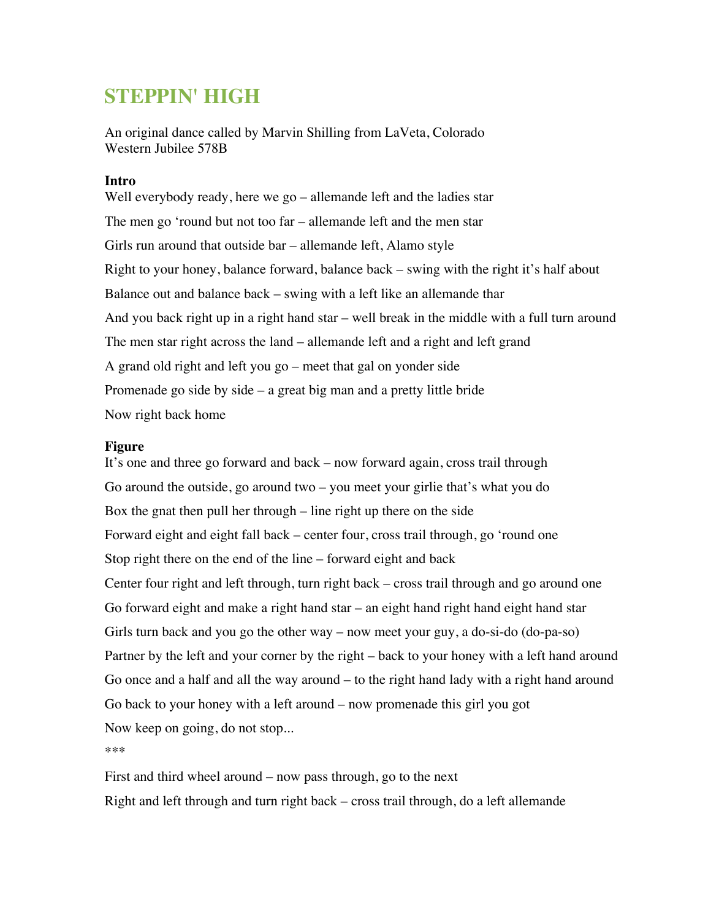## **STEPPIN' HIGH**

An original dance called by Marvin Shilling from LaVeta, Colorado Western Jubilee 578B

## **Intro**

Well everybody ready, here we go – allemande left and the ladies star The men go 'round but not too far – allemande left and the men star Girls run around that outside bar – allemande left, Alamo style Right to your honey, balance forward, balance back – swing with the right it's half about Balance out and balance back – swing with a left like an allemande thar And you back right up in a right hand star – well break in the middle with a full turn around The men star right across the land – allemande left and a right and left grand A grand old right and left you go – meet that gal on yonder side Promenade go side by side – a great big man and a pretty little bride Now right back home

## **Figure**

It's one and three go forward and back – now forward again, cross trail through Go around the outside, go around two – you meet your girlie that's what you do Box the gnat then pull her through – line right up there on the side Forward eight and eight fall back – center four, cross trail through, go 'round one Stop right there on the end of the line – forward eight and back Center four right and left through, turn right back – cross trail through and go around one Go forward eight and make a right hand star – an eight hand right hand eight hand star Girls turn back and you go the other way – now meet your guy, a do-si-do (do-pa-so) Partner by the left and your corner by the right – back to your honey with a left hand around Go once and a half and all the way around – to the right hand lady with a right hand around Go back to your honey with a left around – now promenade this girl you got Now keep on going, do not stop...

\*\*\*

First and third wheel around – now pass through, go to the next Right and left through and turn right back – cross trail through, do a left allemande